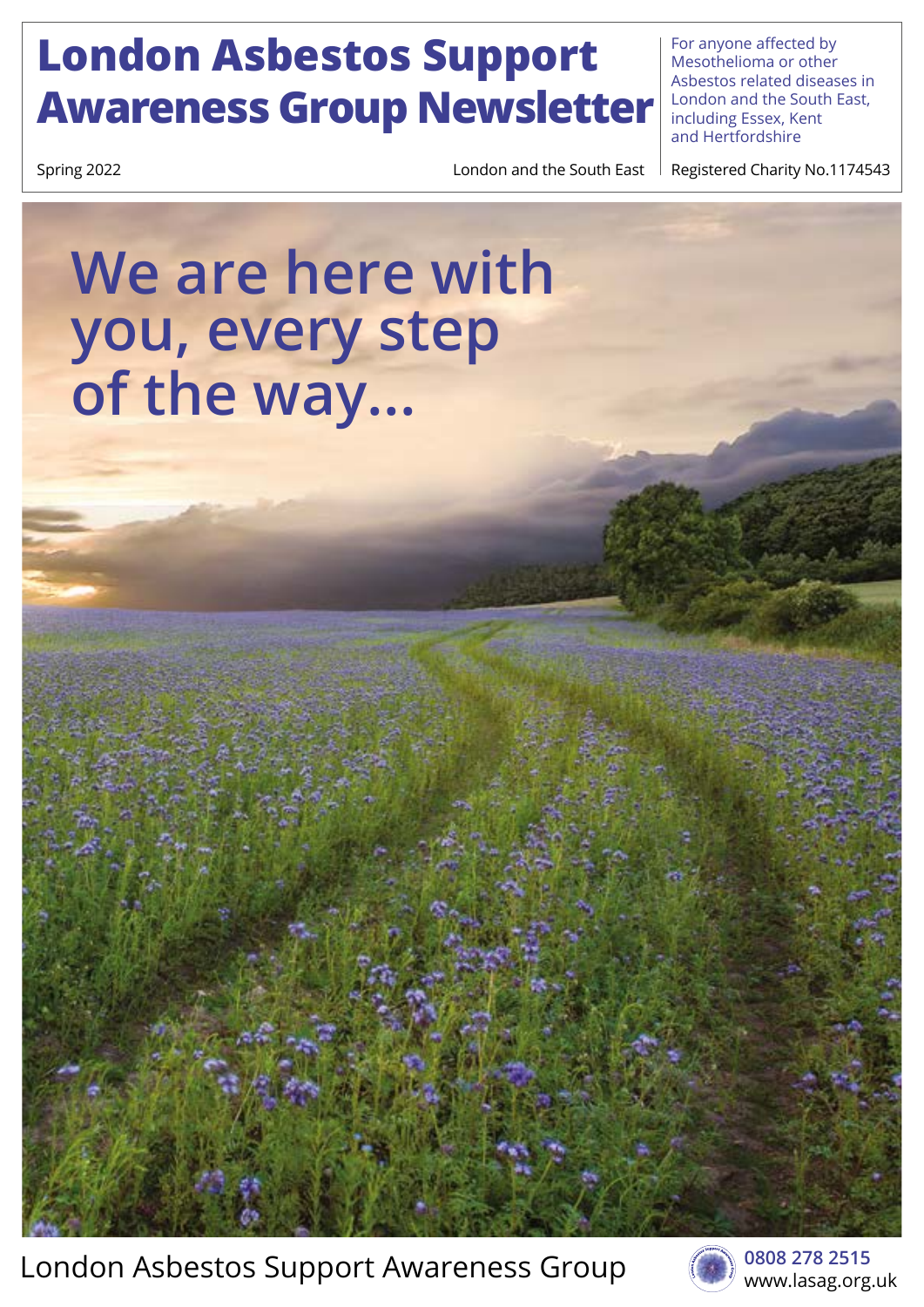### **London Asbestos Support Awareness Group Newsletter**

For anyone affected by Mesothelioma or other Asbestos related diseases in London and the South East, including Essex, Kent and Hertfordshire

Spring 2022 Spring 2022 **London and the South East Registered Charity No.1174543** 

### **We are here with you, every step of the way...**

London Asbestos Support Awareness Group



**0808 278 2515**  www.lasag.org.uk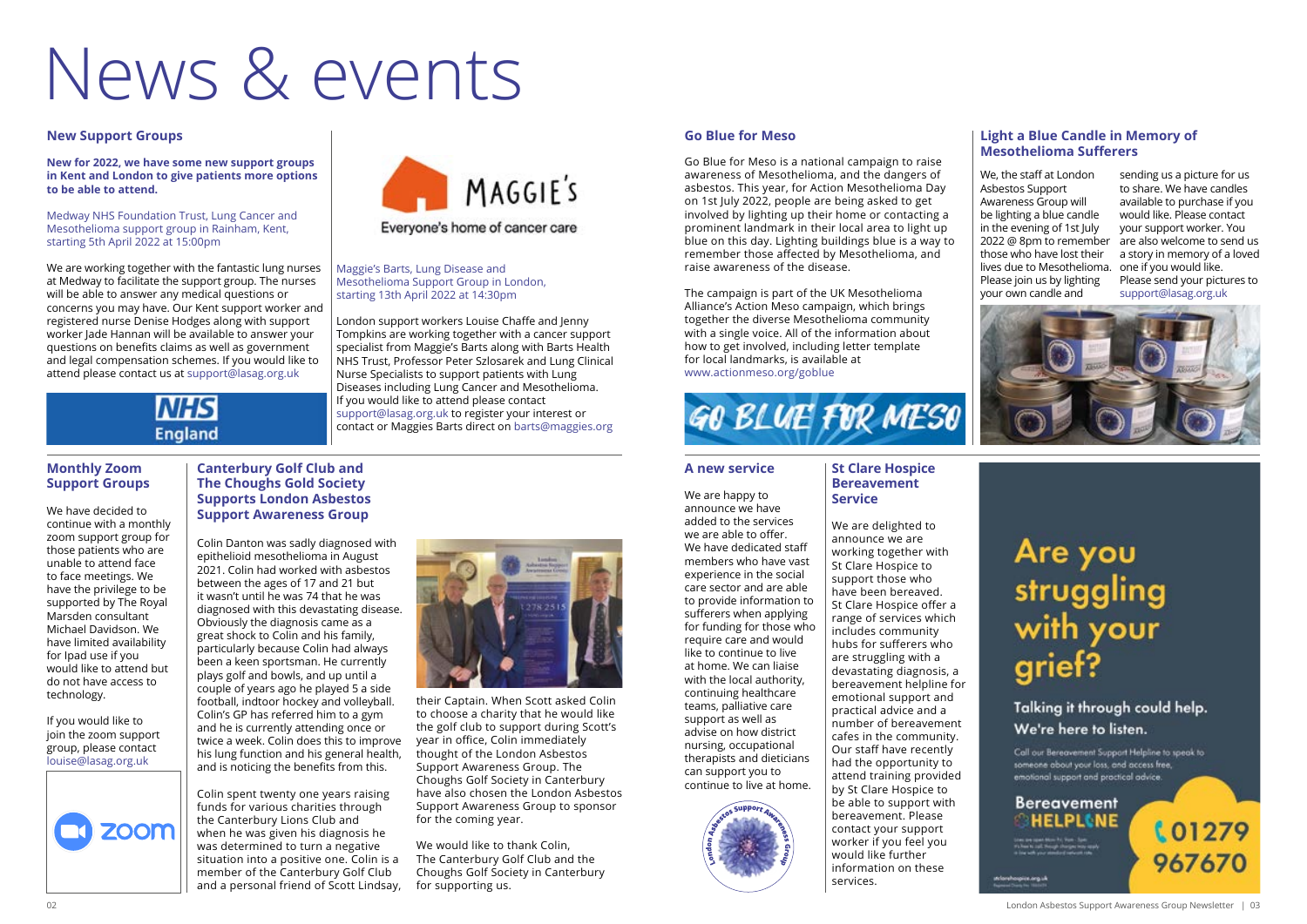**LO1279** 

967670

#### **A new service**

We are happy to announce we have added to the services we are able to offer. We have dedicated staff members who have vast experience in the social care sector and are able to provide information to sufferers when applying for funding for those who require care and would like to continue to live at home. We can liaise with the local authority, continuing healthcare teams, palliative care support as well as advise on how district nursing, occupational therapists and dieticians can support you to continue to live at home.



#### **St Clare Hospice Bereavement Service**

We are delighted to announce we are working together with St Clare Hospice to support those who have been bereaved. St Clare Hospice offer a range of services which includes community hubs for sufferers who are struggling with a devastating diagnosis, a bereavement helpline for emotional support and practical advice and a number of bereavement cafes in the community. Our staff have recently had the opportunity to attend training provided by St Clare Hospice to be able to support with bereavement. Please contact your support worker if you feel you would like further information on these services.

#### **New Support Groups**

#### **New for 2022, we have some new support groups in Kent and London to give patients more options to be able to attend.**

#### Medway NHS Foundation Trust, Lung Cancer and Mesothelioma support group in Rainham, Kent, starting 5th April 2022 at 15:00pm

We are working together with the fantastic lung nurses at Medway to facilitate the support group. The nurses will be able to answer any medical questions or concerns you may have. Our Kent support worker and registered nurse Denise Hodges along with support worker Jade Hannan will be available to answer your questions on benefits claims as well as government and legal compensation schemes. If you would like to attend please contact us at support@lasag.org.uk



Maggie's Barts, Lung Disease and

Mesothelioma Support Group in London, starting 13th April 2022 at 14:30pm

London support workers Louise Chaffe and Jenny Tompkins are working together with a cancer support specialist from Maggie's Barts along with Barts Health NHS Trust, Professor Peter Szlosarek and Lung Clinical

Everyone's home of cancer care

**MAGGIE'S** 

Nurse Specialists to support patients with Lung Diseases including Lung Cancer and Mesothelioma.

If you would like to attend please contact

support@lasag.org.uk to register your interest or contact or Maggies Barts direct on barts@maggies.org

**Monthly Zoom Support Groups**

#### We have decided to continue with a monthly

zoom support group for those patients who are unable to attend face to face meetings. We have the privilege to be supported by The Royal Marsden consultant Michael Davidson. We have limited availability for Ipad use if you would like to attend but do not have access to technology.

If you would like to join the zoom support group, please contact louise@lasag.org.uk



# News & events

#### **Go Blue for Meso**

Go Blue for Meso is a national campaign to raise awareness of Mesothelioma, and the dangers of asbestos. This year, for Action Mesothelioma Day on 1st July 2022, people are being asked to get involved by lighting up their home or contacting a prominent landmark in their local area to light up blue on this day. Lighting buildings blue is a way to remember those affected by Mesothelioma, and raise awareness of the disease.

The campaign is part of the UK Mesothelioma Alliance's Action Meso campaign, which brings together the diverse Mesothelioma community with a single voice. All of the information about how to get involved, including letter template for local landmarks, is available at www.actionmeso.org/goblue



#### **Light a Blue Candle in Memory of Mesothelioma Sufferers**

We, the staff at London Asbestos Support Awareness Group will be lighting a blue candle in the evening of 1st July those who have lost their lives due to Mesothelioma. one if you would like. Please join us by lighting your own candle and

2022 @ 8pm to remember are also welcome to send us sending us a picture for us to share. We have candles available to purchase if you would like. Please contact your support worker. You a story in memory of a loved Please send your pictures to support@lasag.org.uk



# Are you<br>struggling<br>with your grief?

#### Talking it through could help. We're here to listen.

Call our Bereavement Support Helpline to speak to someone about your loss, and access free, emotional support and practical advice.



opisanjuk

#### **Canterbury Golf Club and The Choughs Gold Society Supports London Asbestos Support Awareness Group**

Colin Danton was sadly diagnosed with epithelioid mesothelioma in August 2021. Colin had worked with asbestos between the ages of 17 and 21 but it wasn't until he was 74 that he was diagnosed with this devastating disease. Obviously the diagnosis came as a great shock to Colin and his family, particularly because Colin had always been a keen sportsman. He currently plays golf and bowls, and up until a couple of years ago he played 5 a side football, indtoor hockey and volleyball. Colin's GP has referred him to a gym and he is currently attending once or twice a week. Colin does this to improve his lung function and his general health, and is noticing the benefits from this.

Colin spent twenty one years raising funds for various charities through the Canterbury Lions Club and when he was given his diagnosis he was determined to turn a negative situation into a positive one. Colin is a member of the Canterbury Golf Club and a personal friend of Scott Lindsay,



their Captain. When Scott asked Colin to choose a charity that he would like the golf club to support during Scott's year in office, Colin immediately thought of the London Asbestos Support Awareness Group. The Choughs Golf Society in Canterbury have also chosen the London Asbestos Support Awareness Group to sponsor for the coming year.

We would like to thank Colin, The Canterbury Golf Club and the Choughs Golf Society in Canterbury for supporting us.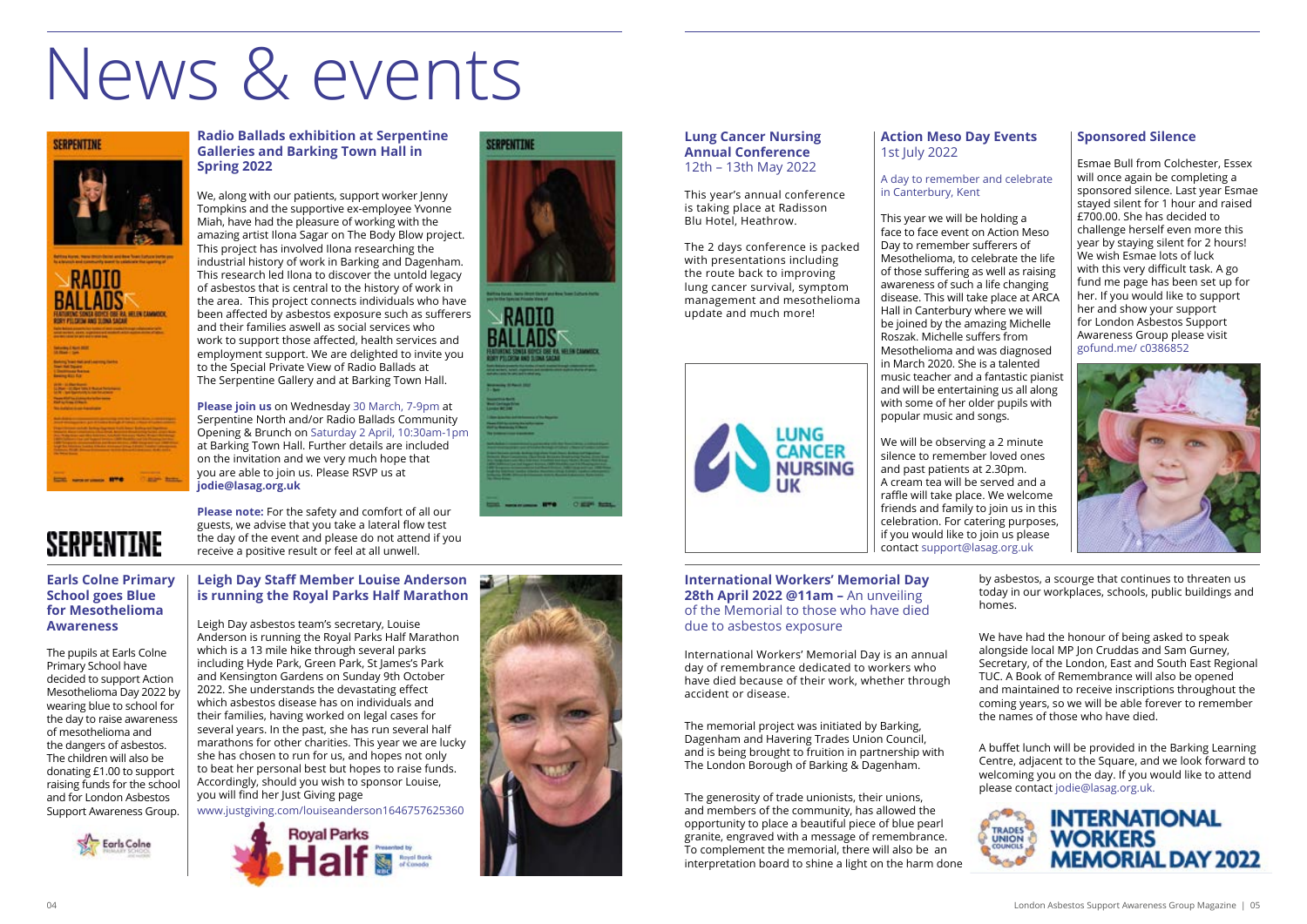#### **Earls Colne Primary School goes Blue for Mesothelioma Awareness**

The pupils at Earls Colne Primary School have decided to support Action Mesothelioma Day 2022 by wearing blue to school for the day to raise awareness of mesothelioma and the dangers of asbestos. The children will also be donating £1.00 to support raising funds for the school and for London Asbestos Support Awareness Group.



#### **Leigh Day Staff Member Louise Anderson is running the Royal Parks Half Marathon**

Leigh Day asbestos team's secretary, Louise Anderson is running the Royal Parks Half Marathon which is a 13 mile hike through several parks including Hyde Park, Green Park, St James's Park and Kensington Gardens on Sunday 9th October 2022. She understands the devastating effect which asbestos disease has on individuals and their families, having worked on legal cases for several years. In the past, she has run several half marathons for other charities. This year we are lucky she has chosen to run for us, and hopes not only to beat her personal best but hopes to raise funds. Accordingly, should you wish to sponsor Louise, you will find her Just Giving page

www.justgiving.com/louiseanderson1646757625360







#### **International Workers' Memorial Day**  28th April 2022 @11am - An unveiling of the Memorial to those who have died due to asbestos exposure

International Workers' Memorial Day is an annual day of remembrance dedicated to workers who have died because of their work, whether through accident or disease.

The memorial project was initiated by Barking, Dagenham and Havering Trades Union Council, and is being brought to fruition in partnership with The London Borough of Barking & Dagenham.

The generosity of trade unionists, their unions, and members of the community, has allowed the opportunity to place a beautiful piece of blue pearl granite, engraved with a message of remembrance. To complement the memorial, there will also be an interpretation board to shine a light on the harm done





by asbestos, a scourge that continues to threaten us today in our workplaces, schools, public buildings and homes.

We have had the honour of being asked to speak alongside local MP Jon Cruddas and Sam Gurney, Secretary, of the London, East and South East Regional TUC. A Book of Remembrance will also be opened and maintained to receive inscriptions throughout the coming years, so we will be able forever to remember the names of those who have died.

A buffet lunch will be provided in the Barking Learning Centre, adjacent to the Square, and we look forward to welcoming you on the day. If you would like to attend please contact jodie@lasag.org.uk.



#### **Lung Cancer Nursing Annual Conference**  12th – 13th May 2022

This year's annual conference is taking place at Radisson Blu Hotel, Heathrow.

The 2 days conference is packed with presentations including the route back to improving lung cancer survival, symptom management and mesothelioma update and much more!



#### **Action Meso Day Events**  1st July 2022

#### A day to remember and celebrate in Canterbury, Kent

This year we will be holding a face to face event on Action Meso Day to remember sufferers of Mesothelioma, to celebrate the life of those suffering as well as raising awareness of such a life changing disease. This will take place at ARCA Hall in Canterbury where we will be joined by the amazing Michelle Roszak. Michelle suffers from Mesothelioma and was diagnosed in March 2020. She is a talented music teacher and a fantastic pianist and will be entertaining us all along with some of her older pupils with popular music and songs.

We will be observing a 2 minute silence to remember loved ones and past patients at 2.30pm. A cream tea will be served and a raffle will take place. We welcome friends and family to join us in this celebration. For catering purposes, if you would like to join us please contact support@lasag.org.uk

#### **Sponsored Silence**

Esmae Bull from Colchester, Essex will once again be completing a sponsored silence. Last year Esmae stayed silent for 1 hour and raised £700.00. She has decided to challenge herself even more this year by staying silent for 2 hours! We wish Esmae lots of luck with this very difficult task. A go fund me page has been set up for her. If you would like to support her and show your support for London Asbestos Support Awareness Group please visit gofund.me/ c0386852



#### **Radio Ballads exhibition at Serpentine Galleries and Barking Town Hall in Spring 2022**

We, along with our patients, support worker Jenny Tompkins and the supportive ex-employee Yvonne Miah, have had the pleasure of working with the amazing artist Ilona Sagar on The Body Blow project. This project has involved Ilona researching the industrial history of work in Barking and Dagenham. This research led Ilona to discover the untold legacy of asbestos that is central to the history of work in the area. This project connects individuals who have been affected by asbestos exposure such as sufferers and their families aswell as social services who work to support those affected, health services and employment support. We are delighted to invite you to the Special Private View of Radio Ballads at The Serpentine Gallery and at Barking Town Hall.

**Please join us** on Wednesday 30 March, 7-9pm at Serpentine North and/or Radio Ballads Community Opening & Brunch on Saturday 2 April, 10:30am-1pm at Barking Town Hall. Further details are included on the invitation and we very much hope that you are able to join us. Please RSVP us at **jodie@lasag.org.uk**

**Please note:** For the safety and comfort of all our

### SERPENTINE

guests, we advise that you take a lateral flow test the day of the event and please do not attend if you receive a positive result or feel at all unwell.

## News & events

#### **SERPENTINE**

# **RADIO** eta un sont con el conte<br>Visit al la conte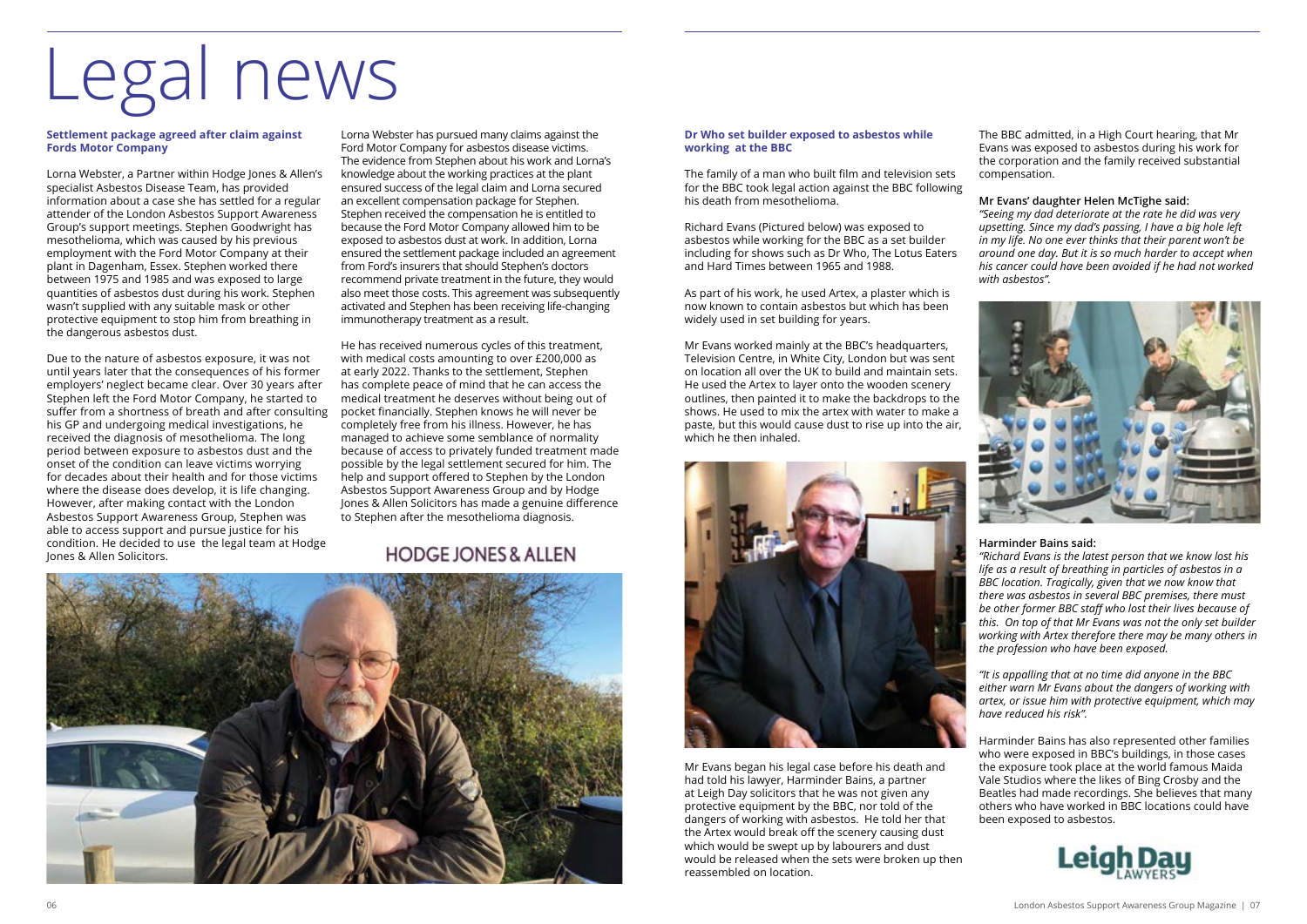# Legal news

#### **Settlement package agreed after claim against Fords Motor Company**

Lorna Webster, a Partner within Hodge Jones & Allen's specialist Asbestos Disease Team, has provided information about a case she has settled for a regular attender of the London Asbestos Support Awareness Group's support meetings. Stephen Goodwright has mesothelioma, which was caused by his previous employment with the Ford Motor Company at their plant in Dagenham, Essex. Stephen worked there between 1975 and 1985 and was exposed to large quantities of asbestos dust during his work. Stephen wasn't supplied with any suitable mask or other protective equipment to stop him from breathing in the dangerous asbestos dust.

Due to the nature of asbestos exposure, it was not until years later that the consequences of his former employers' neglect became clear. Over 30 years after Stephen left the Ford Motor Company, he started to suffer from a shortness of breath and after consulting his GP and undergoing medical investigations, he received the diagnosis of mesothelioma. The long period between exposure to asbestos dust and the onset of the condition can leave victims worrying for decades about their health and for those victims where the disease does develop, it is life changing. However, after making contact with the London Asbestos Support Awareness Group, Stephen was able to access support and pursue justice for his condition. He decided to use the legal team at Hodge Jones & Allen Solicitors.

Lorna Webster has pursued many claims against the Ford Motor Company for asbestos disease victims. The evidence from Stephen about his work and Lorna's knowledge about the working practices at the plant ensured success of the legal claim and Lorna secured an excellent compensation package for Stephen. Stephen received the compensation he is entitled to because the Ford Motor Company allowed him to be exposed to asbestos dust at work. In addition, Lorna ensured the settlement package included an agreement from Ford's insurers that should Stephen's doctors recommend private treatment in the future, they would also meet those costs. This agreement was subsequently activated and Stephen has been receiving life-changing immunotherapy treatment as a result.

He has received numerous cycles of this treatment, with medical costs amounting to over £200,000 as at early 2022. Thanks to the settlement, Stephen has complete peace of mind that he can access the medical treatment he deserves without being out of pocket financially. Stephen knows he will never be completely free from his illness. However, he has managed to achieve some semblance of normality because of access to privately funded treatment made possible by the legal settlement secured for him. The help and support offered to Stephen by the London Asbestos Support Awareness Group and by Hodge Jones & Allen Solicitors has made a genuine difference to Stephen after the mesothelioma diagnosis.

#### **HODGE JONES & ALLEN**



#### **Dr Who set builder exposed to asbestos while working at the BBC**

The family of a man who built film and television sets for the BBC took legal action against the BBC following his death from mesothelioma.

Richard Evans (Pictured below) was exposed to asbestos while working for the BBC as a set builder including for shows such as Dr Who, The Lotus Eaters and Hard Times between 1965 and 1988.

As part of his work, he used Artex, a plaster which is now known to contain asbestos but which has been widely used in set building for years.

Mr Evans worked mainly at the BBC's headquarters, Television Centre, in White City, London but was sent on location all over the UK to build and maintain sets. He used the Artex to layer onto the wooden scenery outlines, then painted it to make the backdrops to the shows. He used to mix the artex with water to make a paste, but this would cause dust to rise up into the air, which he then inhaled.

![](_page_3_Picture_13.jpeg)

Mr Evans began his legal case before his death and had told his lawyer, Harminder Bains, a partner at Leigh Day solicitors that he was not given any protective equipment by the BBC, nor told of the dangers of working with asbestos. He told her that the Artex would break off the scenery causing dust which would be swept up by labourers and dust would be released when the sets were broken up then reassembled on location.

The BBC admitted, in a High Court hearing, that Mr Evans was exposed to asbestos during his work for the corporation and the family received substantial compensation.

#### **Mr Evans' daughter Helen McTighe said:**

![](_page_3_Picture_21.jpeg)

*"Seeing my dad deteriorate at the rate he did was very upsetting. Since my dad's passing, I have a big hole left in my life. No one ever thinks that their parent won't be around one day. But it is so much harder to accept when his cancer could have been avoided if he had not worked with asbestos".* 

#### **Harminder Bains said:**

*"Richard Evans is the latest person that we know lost his life as a result of breathing in particles of asbestos in a BBC location. Tragically, given that we now know that there was asbestos in several BBC premises, there must be other former BBC staff who lost their lives because of this. On top of that Mr Evans was not the only set builder working with Artex therefore there may be many others in the profession who have been exposed.* 

*"It is appalling that at no time did anyone in the BBC either warn Mr Evans about the dangers of working with artex, or issue him with protective equipment, which may have reduced his risk".* 

Harminder Bains has also represented other families who were exposed in BBC's buildings, in those cases the exposure took place at the world famous Maida Vale Studios where the likes of Bing Crosby and the Beatles had made recordings. She believes that many others who have worked in BBC locations could have been exposed to asbestos.

![](_page_3_Picture_26.jpeg)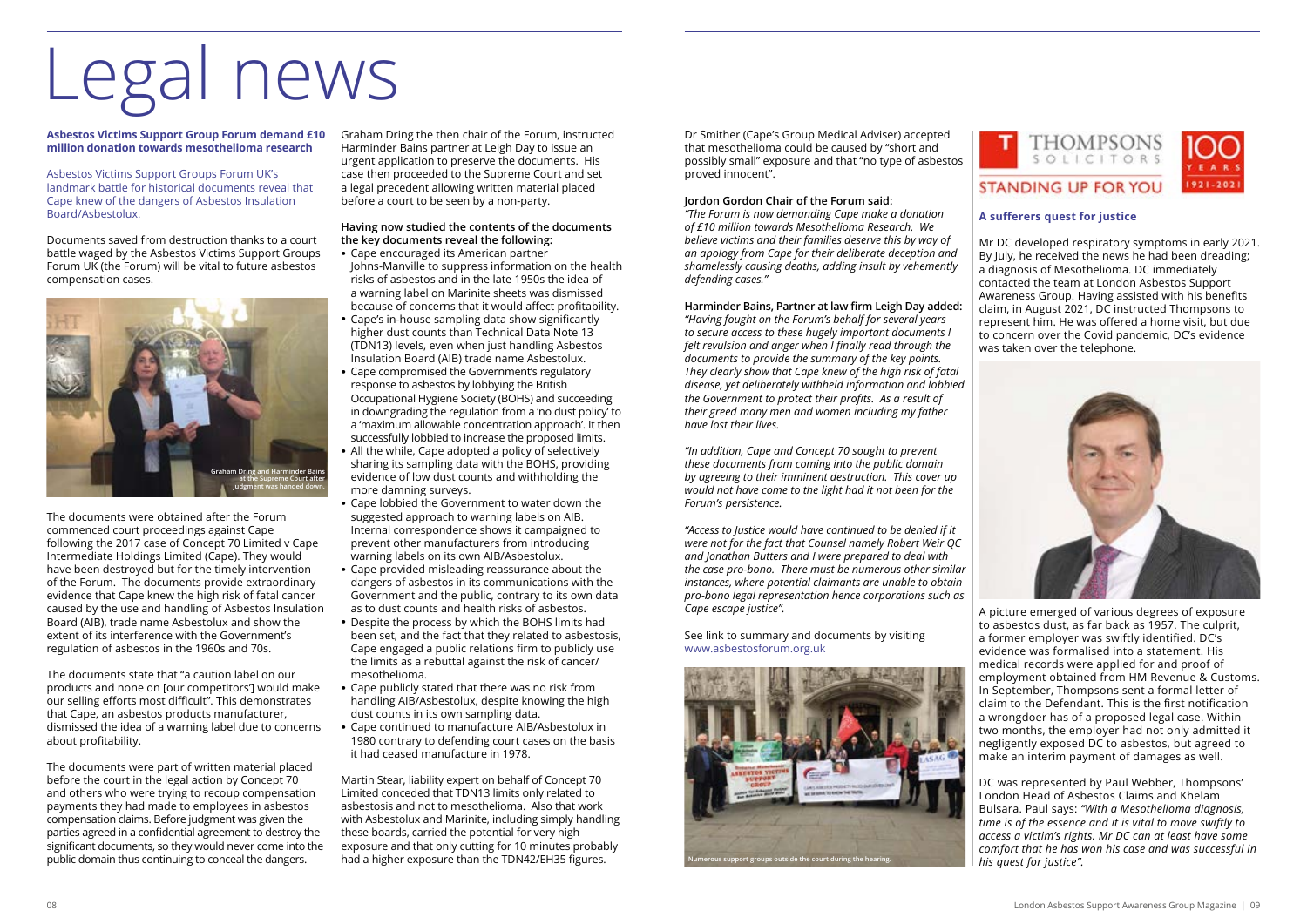# Legal news

**Asbestos Victims Support Group Forum demand £10**  Graham Dring the then chair of the Forum, instructed **million donation towards mesothelioma research**

Asbestos Victims Support Groups Forum UK's landmark battle for historical documents reveal that Cape knew of the dangers of Asbestos Insulation Board/Asbestolux.

Documents saved from destruction thanks to a court battle waged by the Asbestos Victims Support Groups Forum UK (the Forum) will be vital to future asbestos compensation cases.

The documents were obtained after the Forum commenced court proceedings against Cape following the 2017 case of Concept 70 Limited v Cape Intermediate Holdings Limited (Cape). They would have been destroyed but for the timely intervention of the Forum. The documents provide extraordinary evidence that Cape knew the high risk of fatal cancer caused by the use and handling of Asbestos Insulation Board (AIB), trade name Asbestolux and show the extent of its interference with the Government's regulation of asbestos in the 1960s and 70s.

The documents state that "a caution label on our products and none on [our competitors'] would make our selling efforts most difficult". This demonstrates that Cape, an asbestos products manufacturer, dismissed the idea of a warning label due to concerns about profitability.

The documents were part of written material placed before the court in the legal action by Concept 70 and others who were trying to recoup compensation payments they had made to employees in asbestos compensation claims. Before judgment was given the parties agreed in a confidential agreement to destroy the significant documents, so they would never come into the public domain thus continuing to conceal the dangers.

Harminder Bains partner at Leigh Day to issue an urgent application to preserve the documents. His case then proceeded to the Supreme Court and set a legal precedent allowing written material placed before a court to be seen by a non-party.

#### **Having now studied the contents of the documents the key documents reveal the following:**

- **·** Cape encouraged its American partner Johns-Manville to suppress information on the health risks of asbestos and in the late 1950s the idea of a warning label on Marinite sheets was dismissed because of concerns that it would affect profitability.
- **·** Cape's in-house sampling data show significantly higher dust counts than Technical Data Note 13 (TDN13) levels, even when just handling Asbestos Insulation Board (AIB) trade name Asbestolux.
- **·** Cape compromised the Government's regulatory response to asbestos by lobbying the British Occupational Hygiene Society (BOHS) and succeeding in downgrading the regulation from a 'no dust policy' to a 'maximum allowable concentration approach'. It then successfully lobbied to increase the proposed limits.
- **·** All the while, Cape adopted a policy of selectively sharing its sampling data with the BOHS, providing evidence of low dust counts and withholding the more damning surveys.
- **·** Cape lobbied the Government to water down the suggested approach to warning labels on AIB. Internal correspondence shows it campaigned to prevent other manufacturers from introducing warning labels on its own AIB/Asbestolux.
- **·** Cape provided misleading reassurance about the dangers of asbestos in its communications with the Government and the public, contrary to its own data as to dust counts and health risks of asbestos.
- **·** Despite the process by which the BOHS limits had been set, and the fact that they related to asbestosis, Cape engaged a public relations firm to publicly use the limits as a rebuttal against the risk of cancer/ mesothelioma.
- **·** Cape publicly stated that there was no risk from handling AIB/Asbestolux, despite knowing the high dust counts in its own sampling data.
- **·** Cape continued to manufacture AIB/Asbestolux in 1980 contrary to defending court cases on the basis it had ceased manufacture in 1978.

Martin Stear, liability expert on behalf of Concept 70 Limited conceded that TDN13 limits only related to asbestosis and not to mesothelioma. Also that work with Asbestolux and Marinite, including simply handling these boards, carried the potential for very high exposure and that only cutting for 10 minutes probably had a higher exposure than the TDN42/EH35 figures.

Dr Smither (Cape's Group Medical Adviser) accepted that mesothelioma could be caused by "short and possibly small" exposure and that "no type of asbestos proved innocent".

#### **Jordon Gordon Chair of the Forum said:**

*"The Forum is now demanding Cape make a donation of £10 million towards Mesothelioma Research. We believe victims and their families deserve this by way of an apology from Cape for their deliberate deception and shamelessly causing deaths, adding insult by vehemently defending cases."*

**Harminder Bains, Partner at law firm Leigh Day added:**

*"Having fought on the Forum's behalf for several years to secure access to these hugely important documents I felt revulsion and anger when I finally read through the documents to provide the summary of the key points. They clearly show that Cape knew of the high risk of fatal disease, yet deliberately withheld information and lobbied the Government to protect their profits. As a result of their greed many men and women including my father have lost their lives.* 

*"In addition, Cape and Concept 70 sought to prevent these documents from coming into the public domain by agreeing to their imminent destruction. This cover up would not have come to the light had it not been for the Forum's persistence.* 

*"Access to Justice would have continued to be denied if it were not for the fact that Counsel namely Robert Weir QC and Jonathan Butters and I were prepared to deal with the case pro-bono. There must be numerous other similar instances, where potential claimants are unable to obtain pro-bono legal representation hence corporations such as Cape escape justice".* 

See link to summary and documents by visiting www.asbestosforum.org.uk

#### **A sufferers quest for justice**

Mr DC developed respiratory symptoms in early 2021. By July, he received the news he had been dreading; a diagnosis of Mesothelioma. DC immediately contacted the team at London Asbestos Support Awareness Group. Having assisted with his benefits claim, in August 2021, DC instructed Thompsons to represent him. He was offered a home visit, but due to concern over the Covid pandemic, DC's evidence was taken over the telephone.

![](_page_4_Picture_36.jpeg)

A picture emerged of various degrees of exposure to asbestos dust, as far back as 1957. The culprit, a former employer was swiftly identified. DC's evidence was formalised into a statement. His medical records were applied for and proof of employment obtained from HM Revenue & Customs. In September, Thompsons sent a formal letter of claim to the Defendant. This is the first notification a wrongdoer has of a proposed legal case. Within two months, the employer had not only admitted it negligently exposed DC to asbestos, but agreed to make an interim payment of damages as well.

DC was represented by Paul Webber, Thompsons' London Head of Asbestos Claims and Khelam Bulsara. Paul says: *"With a Mesothelioma diagnosis, time is of the essence and it is vital to move swiftly to access a victim's rights. Mr DC can at least have some comfort that he has won his case and was successful in his quest for justice".*

![](_page_4_Picture_4.jpeg)

![](_page_4_Picture_28.jpeg)

![](_page_4_Picture_31.jpeg)

![](_page_4_Picture_32.jpeg)

#### **STANDING UP FOR YOU**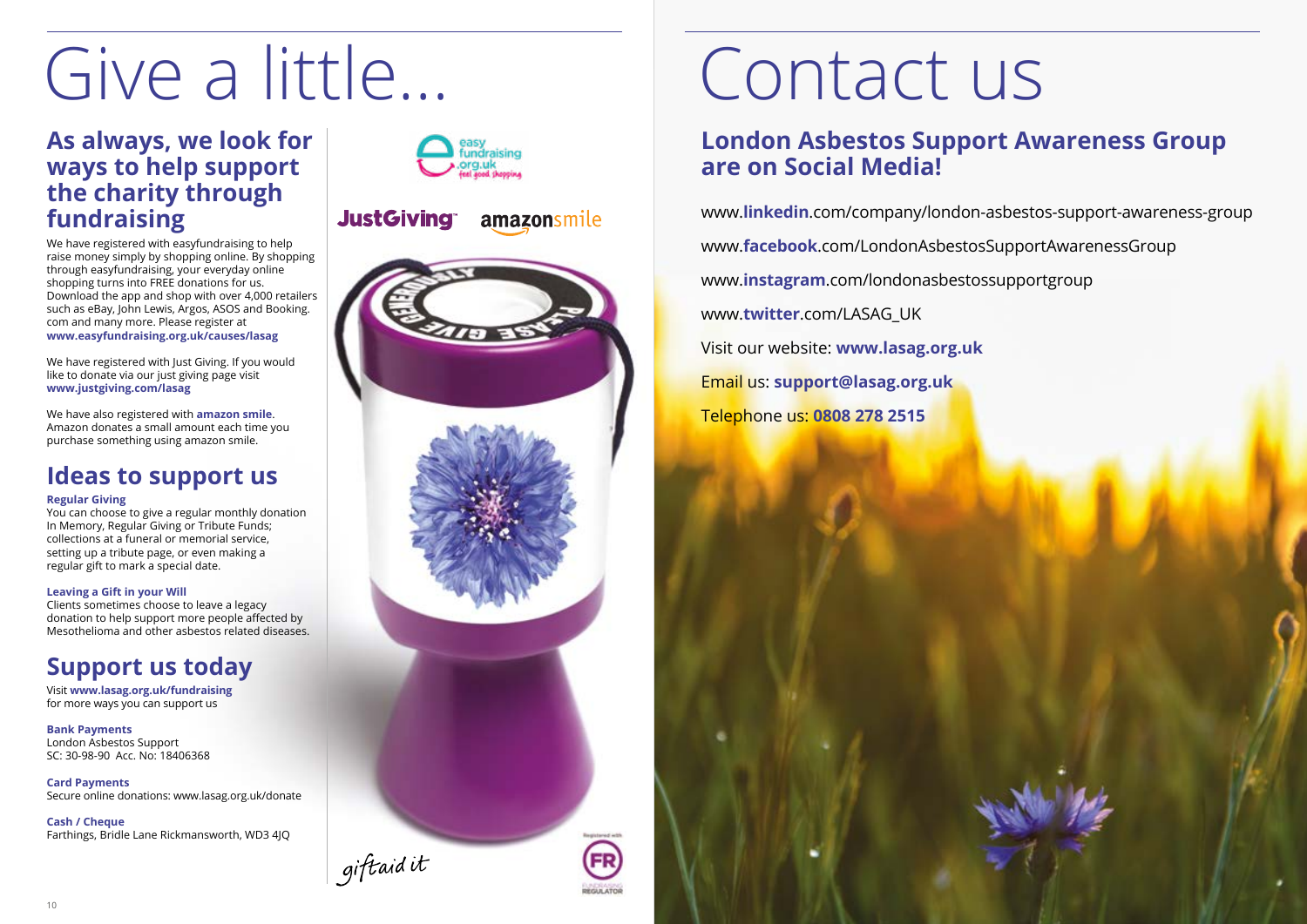![](_page_5_Picture_25.jpeg)

#### **As always, we look for ways to help support the charity through fundraising**

We have registered with easyfundraising to help raise money simply by shopping online. By shopping through easyfundraising, your everyday online shopping turns into FREE donations for us. Download the app and shop with over 4,000 retailers such as eBay, John Lewis, Argos, ASOS and Booking. com and many more. Please register at **www.easyfundraising.org.uk/causes/lasag** 

We have registered with Just Giving. If you would like to donate via our just giving page visit **www.justgiving.com/lasag** 

We have also registered with **amazon smile**. Amazon donates a small amount each time you purchase something using amazon smile.

### **Ideas to support us**

#### **Regular Giving**

You can choose to give a regular monthly donation In Memory, Regular Giving or Tribute Funds; collections at a funeral or memorial service, setting up a tribute page, or even making a regular gift to mark a special date.

#### **Leaving a Gift in your Will**

Clients sometimes choose to leave a legacy donation to help support more people affected by Mesothelioma and other asbestos related diseases.

### **Support us today**

Visit **www.lasag.org.uk/fundraising** for more ways you can support us

**Bank Payments**  London Asbestos Support SC: 30-98-90 Acc. No: 18406368

**Card Payments** Secure online donations: www.lasag.org.uk/donate

**Cash / Cheque** Farthings, Bridle Lane Rickmansworth, WD3 4JQ

![](_page_5_Picture_15.jpeg)

#### **JustGiving®** amazonsmile

![](_page_5_Picture_17.jpeg)

### **London Asbestos Support Awareness Group are on Social Media!**

www.**linkedin**.com/company/london-asbestos-support-awareness-group www.**facebook**.com/LondonAsbestosSupportAwarenessGroup www.**instagram**.com/londonasbestossupportgroup www.**twitter**.com/LASAG\_UK Visit our website: **www.lasag.org.uk** Email us: **support@lasag.org.uk** Telephone us: **0808 278 2515**

# Give a little… Contact us